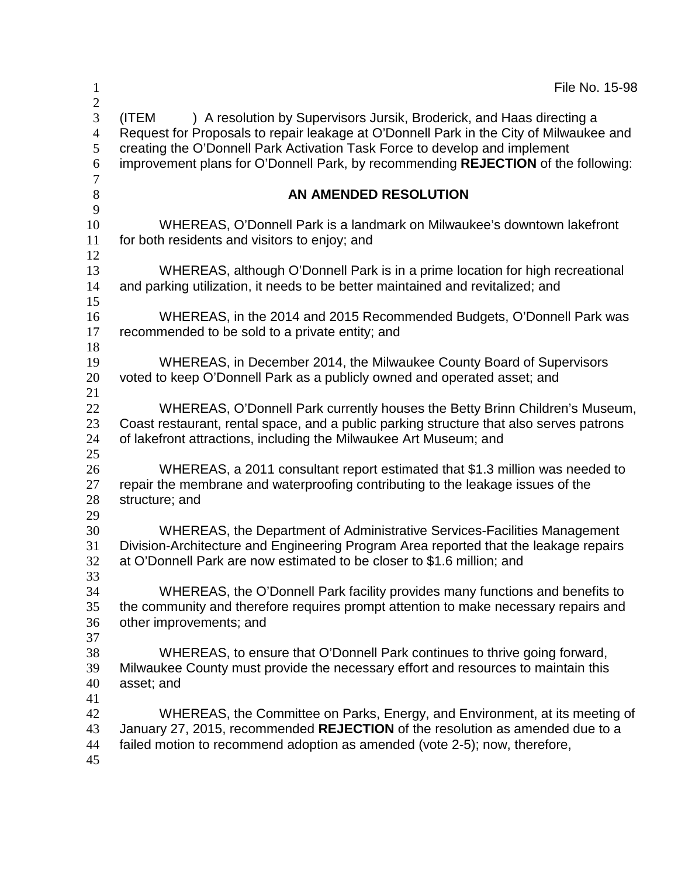| $\mathbf{1}$                                                    | File No. 15-98                                                                                                                                                                                                                                                                                                                              |
|-----------------------------------------------------------------|---------------------------------------------------------------------------------------------------------------------------------------------------------------------------------------------------------------------------------------------------------------------------------------------------------------------------------------------|
| $\mathbf{2}$<br>3<br>$\overline{4}$<br>5<br>6<br>$\overline{7}$ | ) A resolution by Supervisors Jursik, Broderick, and Haas directing a<br>(ITEM<br>Request for Proposals to repair leakage at O'Donnell Park in the City of Milwaukee and<br>creating the O'Donnell Park Activation Task Force to develop and implement<br>improvement plans for O'Donnell Park, by recommending REJECTION of the following: |
| $\,8\,$                                                         | AN AMENDED RESOLUTION                                                                                                                                                                                                                                                                                                                       |
| 9<br>10<br>11<br>12                                             | WHEREAS, O'Donnell Park is a landmark on Milwaukee's downtown lakefront<br>for both residents and visitors to enjoy; and                                                                                                                                                                                                                    |
| 13<br>14                                                        | WHEREAS, although O'Donnell Park is in a prime location for high recreational<br>and parking utilization, it needs to be better maintained and revitalized; and                                                                                                                                                                             |
| 15<br>16<br>17<br>18                                            | WHEREAS, in the 2014 and 2015 Recommended Budgets, O'Donnell Park was<br>recommended to be sold to a private entity; and                                                                                                                                                                                                                    |
| 19<br>20<br>21                                                  | WHEREAS, in December 2014, the Milwaukee County Board of Supervisors<br>voted to keep O'Donnell Park as a publicly owned and operated asset; and                                                                                                                                                                                            |
| 22<br>23<br>24                                                  | WHEREAS, O'Donnell Park currently houses the Betty Brinn Children's Museum,<br>Coast restaurant, rental space, and a public parking structure that also serves patrons<br>of lakefront attractions, including the Milwaukee Art Museum; and                                                                                                 |
| 25<br>26<br>27<br>28                                            | WHEREAS, a 2011 consultant report estimated that \$1.3 million was needed to<br>repair the membrane and waterproofing contributing to the leakage issues of the<br>structure; and                                                                                                                                                           |
| 29<br>30<br>31<br>32<br>33                                      | WHEREAS, the Department of Administrative Services-Facilities Management<br>Division-Architecture and Engineering Program Area reported that the leakage repairs<br>at O'Donnell Park are now estimated to be closer to \$1.6 million; and                                                                                                  |
| 34<br>35<br>36                                                  | WHEREAS, the O'Donnell Park facility provides many functions and benefits to<br>the community and therefore requires prompt attention to make necessary repairs and<br>other improvements; and                                                                                                                                              |
| 37<br>38<br>39<br>40                                            | WHEREAS, to ensure that O'Donnell Park continues to thrive going forward,<br>Milwaukee County must provide the necessary effort and resources to maintain this<br>asset; and                                                                                                                                                                |
| 41<br>42<br>43<br>44<br>45                                      | WHEREAS, the Committee on Parks, Energy, and Environment, at its meeting of<br>January 27, 2015, recommended REJECTION of the resolution as amended due to a<br>failed motion to recommend adoption as amended (vote 2-5); now, therefore,                                                                                                  |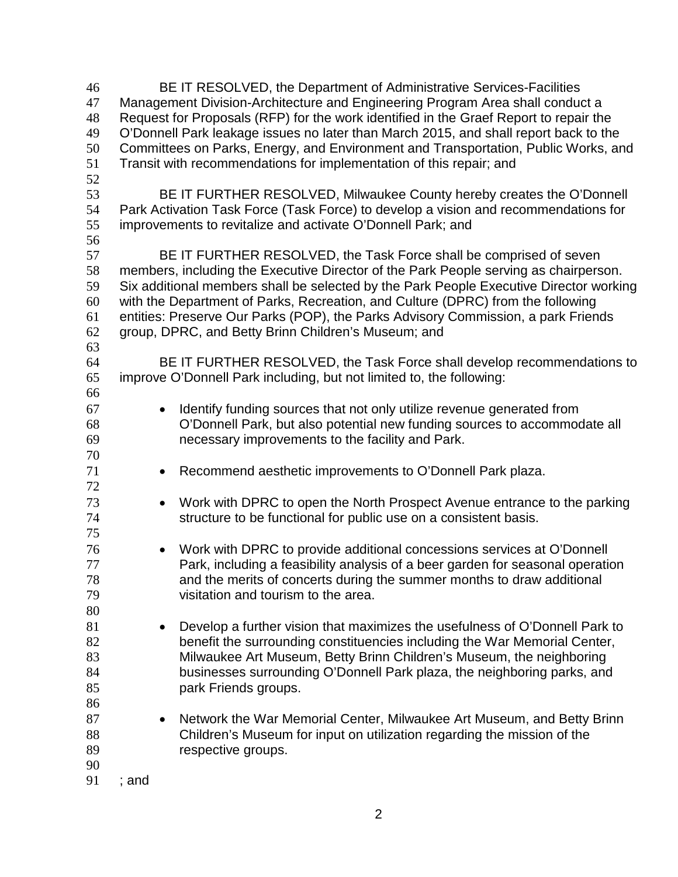BE IT RESOLVED, the Department of Administrative Services-Facilities Management Division-Architecture and Engineering Program Area shall conduct a Request for Proposals (RFP) for the work identified in the Graef Report to repair the O'Donnell Park leakage issues no later than March 2015, and shall report back to the Committees on Parks, Energy, and Environment and Transportation, Public Works, and Transit with recommendations for implementation of this repair; and BE IT FURTHER RESOLVED, Milwaukee County hereby creates the O'Donnell Park Activation Task Force (Task Force) to develop a vision and recommendations for improvements to revitalize and activate O'Donnell Park; and BE IT FURTHER RESOLVED, the Task Force shall be comprised of seven members, including the Executive Director of the Park People serving as chairperson. Six additional members shall be selected by the Park People Executive Director working with the Department of Parks, Recreation, and Culture (DPRC) from the following entities: Preserve Our Parks (POP), the Parks Advisory Commission, a park Friends group, DPRC, and Betty Brinn Children's Museum; and BE IT FURTHER RESOLVED, the Task Force shall develop recommendations to improve O'Donnell Park including, but not limited to, the following: • Identify funding sources that not only utilize revenue generated from O'Donnell Park, but also potential new funding sources to accommodate all necessary improvements to the facility and Park. • Recommend aesthetic improvements to O'Donnell Park plaza. • Work with DPRC to open the North Prospect Avenue entrance to the parking structure to be functional for public use on a consistent basis. • Work with DPRC to provide additional concessions services at O'Donnell Park, including a feasibility analysis of a beer garden for seasonal operation and the merits of concerts during the summer months to draw additional visitation and tourism to the area. • Develop a further vision that maximizes the usefulness of O'Donnell Park to benefit the surrounding constituencies including the War Memorial Center, Milwaukee Art Museum, Betty Brinn Children's Museum, the neighboring businesses surrounding O'Donnell Park plaza, the neighboring parks, and **park Friends groups.**  87 • Network the War Memorial Center, Milwaukee Art Museum, and Betty Brinn Children's Museum for input on utilization regarding the mission of the respective groups. ; and